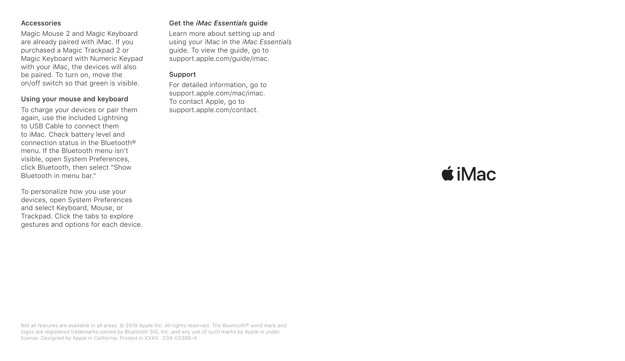#### Accessories

Magic Mouse 2 and Magic Keyboard are already paired with *Mac.* If you purchased a Magic Trackpad 2 or Magic Keyboard with Numeric Keypad with your iMac, the devices will also be paired. To turn on, move the on/off switch so that green is visible.

#### Using your mouse and keyboard

To charge your devices or pair them again, use the included Lightning to USB Cable to connect them to iMac. Check battery level and connection status in the Bluetooth® menu If the Bluetooth menu isn't visible, open System Preferences, click Bluetooth, then select "Show Bluetooth in menu har"

To personalize how you use your devices, open System Preferences and select Keyboard, Mouse, or Trackpad. Click the tabs to explore gestures and options for each device.

## Get the *iMac Essentials* guide

Learn more about setting up and using your iMac in the *iMac Essentials* quide. To view the quide, go to support.apple.com/guide/imac.

### Support

For detailed information, go to support.apple.com/mac/imac. To contact Apple, go to support.apple.com/contact.

# $\triangle$  iMac

Not all features are available in all areas. @ 2019 Apple Inc. All rights reserved. The Bluetooth® word mark and logos are registered trademarks owned by Bluetooth SIG. Inc. and any use of such marks by Apple is under license. Designed by Apple in California. Printed in XXXX. 034-03388-A